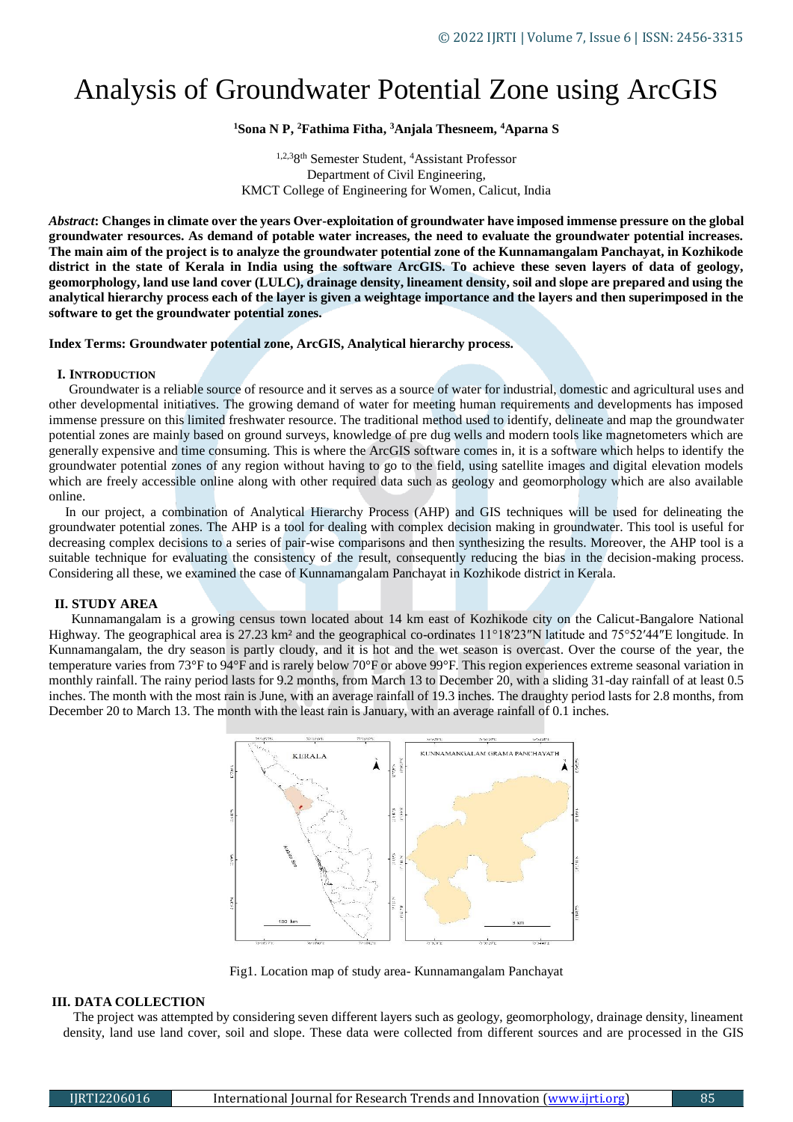# Analysis of Groundwater Potential Zone using ArcGIS

## **<sup>1</sup>Sona N P, <sup>2</sup>Fathima Fitha, <sup>3</sup>Anjala Thesneem, <sup>4</sup>Aparna S**

1,2,38 th Semester Student, <sup>4</sup>Assistant Professor Department of Civil Engineering, KMCT College of Engineering for Women, Calicut, India

*Abstract***: Changes in climate over the years Over-exploitation of groundwater have imposed immense pressure on the global groundwater resources. As demand of potable water increases, the need to evaluate the groundwater potential increases. The main aim of the project is to analyze the groundwater potential zone of the Kunnamangalam Panchayat, in Kozhikode district in the state of Kerala in India using the software ArcGIS. To achieve these seven layers of data of geology, geomorphology, land use land cover (LULC), drainage density, lineament density, soil and slope are prepared and using the analytical hierarchy process each of the layer is given a weightage importance and the layers and then superimposed in the software to get the groundwater potential zones.**

**Index Terms: Groundwater potential zone, ArcGIS, Analytical hierarchy process.**

## **I. INTRODUCTION**

 Groundwater is a reliable source of resource and it serves as a source of water for industrial, domestic and agricultural uses and other developmental initiatives. The growing demand of water for meeting human requirements and developments has imposed immense pressure on this limited freshwater resource. The traditional method used to identify, delineate and map the groundwater potential zones are mainly based on ground surveys, knowledge of pre dug wells and modern tools like magnetometers which are generally expensive and time consuming. This is where the ArcGIS software comes in, it is a software which helps to identify the groundwater potential zones of any region without having to go to the field, using satellite images and digital elevation models which are freely accessible online along with other required data such as geology and geomorphology which are also available online.

 In our project, a combination of Analytical Hierarchy Process (AHP) and GIS techniques will be used for delineating the groundwater potential zones. The AHP is a tool for dealing with complex decision making in groundwater. This tool is useful for decreasing complex decisions to a series of pair-wise comparisons and then synthesizing the results. Moreover, the AHP tool is a suitable technique for evaluating the consistency of the result, consequently reducing the bias in the decision-making process. Considering all these, we examined the case of Kunnamangalam Panchayat in Kozhikode district in Kerala.

## **II. STUDY AREA**

Kunnamangalam is a growing census town located about 14 km east of Kozhikode city on the Calicut-Bangalore National Highway. The geographical area is 27.23 km² and the geographical co-ordinates 11°18′23″N latitude and 75°52′44″E longitude. In Kunnamangalam, the dry season is partly cloudy, and it is hot and the wet season is overcast. Over the course of the year, the temperature varies from 73°F to 94°F and is rarely below 70°F or above 99°F. This region experiences extreme seasonal variation in monthly rainfall. The rainy period lasts for 9.2 months, from March 13 to December 20, with a sliding 31-day rainfall of at least 0.5 inches. The month with the most rain is June, with an average rainfall of 19.3 inches. The draughty period lasts for 2.8 months, from December 20 to March 13. The month with the least rain is January, with an average rainfall of 0.1 inches.



Fig1. Location map of study area- Kunnamangalam Panchayat

## **III. DATA COLLECTION**

 The project was attempted by considering seven different layers such as geology, geomorphology, drainage density, lineament density, land use land cover, soil and slope. These data were collected from different sources and are processed in the GIS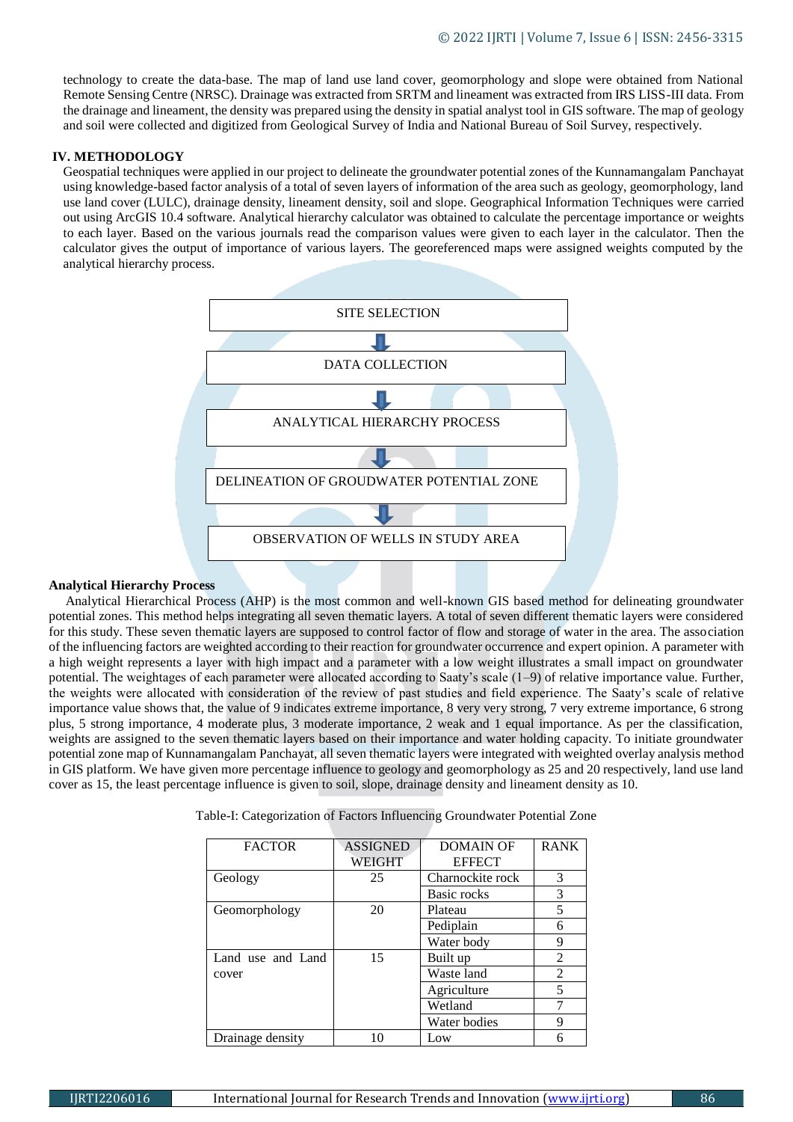technology to create the data-base. The map of land use land cover, geomorphology and slope were obtained from National Remote Sensing Centre (NRSC). Drainage was extracted from SRTM and lineament was extracted from IRS LISS-III data. From the drainage and lineament, the density was prepared using the density in spatial analyst tool in GIS software. The map of geology and soil were collected and digitized from Geological Survey of India and National Bureau of Soil Survey, respectively.

## **IV. METHODOLOGY**

Geospatial techniques were applied in our project to delineate the groundwater potential zones of the Kunnamangalam Panchayat using knowledge-based factor analysis of a total of seven layers of information of the area such as geology, geomorphology, land use land cover (LULC), drainage density, lineament density, soil and slope. Geographical Information Techniques were carried out using ArcGIS 10.4 software. Analytical hierarchy calculator was obtained to calculate the percentage importance or weights to each layer. Based on the various journals read the comparison values were given to each layer in the calculator. Then the calculator gives the output of importance of various layers. The georeferenced maps were assigned weights computed by the analytical hierarchy process.



## **Analytical Hierarchy Process**

 Analytical Hierarchical Process (AHP) is the most common and well-known GIS based method for delineating groundwater potential zones. This method helps integrating all seven thematic layers. A total of seven different thematic layers were considered for this study. These seven thematic layers are supposed to control factor of flow and storage of water in the area. The association of the influencing factors are weighted according to their reaction for groundwater occurrence and expert opinion. A parameter with a high weight represents a layer with high impact and a parameter with a low weight illustrates a small impact on groundwater potential. The weightages of each parameter were allocated according to Saaty's scale (1–9) of relative importance value. Further, the weights were allocated with consideration of the review of past studies and field experience. The Saaty's scale of relative importance value shows that, the value of 9 indicates extreme importance, 8 very very strong, 7 very extreme importance, 6 strong plus, 5 strong importance, 4 moderate plus, 3 moderate importance, 2 weak and 1 equal importance. As per the classification, weights are assigned to the seven thematic layers based on their importance and water holding capacity. To initiate groundwater potential zone map of Kunnamangalam Panchayat, all seven thematic layers were integrated with weighted overlay analysis method in GIS platform. We have given more percentage influence to geology and geomorphology as 25 and 20 respectively, land use land cover as 15, the least percentage influence is given to soil, slope, drainage density and lineament density as 10.

| <b>FACTOR</b>     | <b>ASSIGNED</b> | <b>DOMAIN OF</b> | <b>RANK</b>    |
|-------------------|-----------------|------------------|----------------|
|                   | WEIGHT          | <b>EFFECT</b>    |                |
| Geology           | 25              | Charnockite rock | 3              |
|                   |                 | Basic rocks      | 3              |
| Geomorphology     | 20              | Plateau          | 5              |
|                   |                 | Pediplain        | 6              |
|                   |                 | Water body       | 9              |
| Land use and Land | 15              | Built up         | 2              |
| cover             |                 | Waste land       | $\mathfrak{D}$ |
|                   |                 | Agriculture      | 5              |
|                   |                 | Wetland          |                |
|                   |                 | Water bodies     | 9              |
| Drainage density  |                 | Low              |                |

Table-I: Categorization of Factors Influencing Groundwater Potential Zone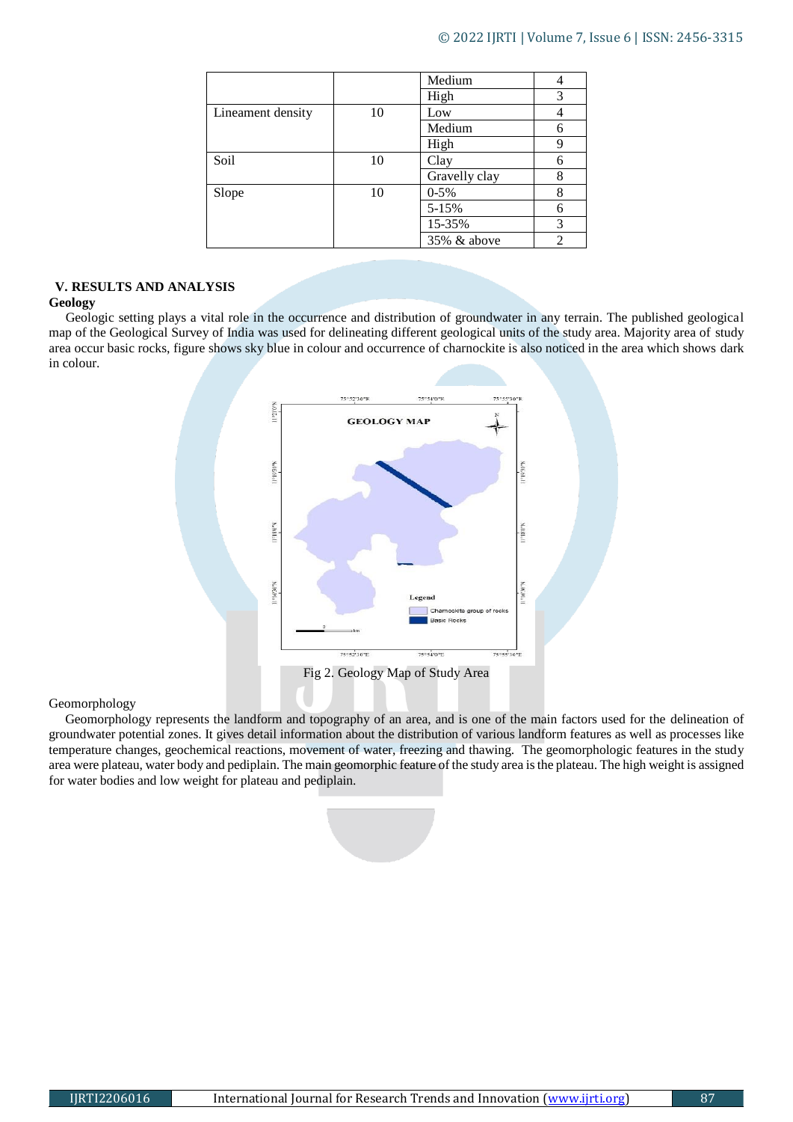|                   |    | Medium        |   |
|-------------------|----|---------------|---|
|                   |    | High          | 3 |
| Lineament density | 10 | Low           |   |
|                   |    | Medium        |   |
|                   |    | High          | Q |
| Soil              | 10 | Clay          | 6 |
|                   |    | Gravelly clay | 8 |
| Slope             | 10 | $0-5%$        | 8 |
|                   |    | $5 - 15%$     | 6 |
|                   |    | 15-35%        | 3 |
|                   |    | 35% & above   | 2 |

## **V. RESULTS AND ANALYSIS**

## **Geology**

 Geologic setting plays a vital role in the occurrence and distribution of groundwater in any terrain. The published geological map of the Geological Survey of India was used for delineating different geological units of the study area. Majority area of study area occur basic rocks, figure shows sky blue in colour and occurrence of charnockite is also noticed in the area which shows dark in colour.



## Geomorphology

 Geomorphology represents the landform and topography of an area, and is one of the main factors used for the delineation of groundwater potential zones. It gives detail information about the distribution of various landform features as well as processes like temperature changes, geochemical reactions, movement of water, freezing and thawing. The geomorphologic features in the study area were plateau, water body and pediplain. The main geomorphic feature of the study area is the plateau. The high weight is assigned for water bodies and low weight for plateau and pediplain.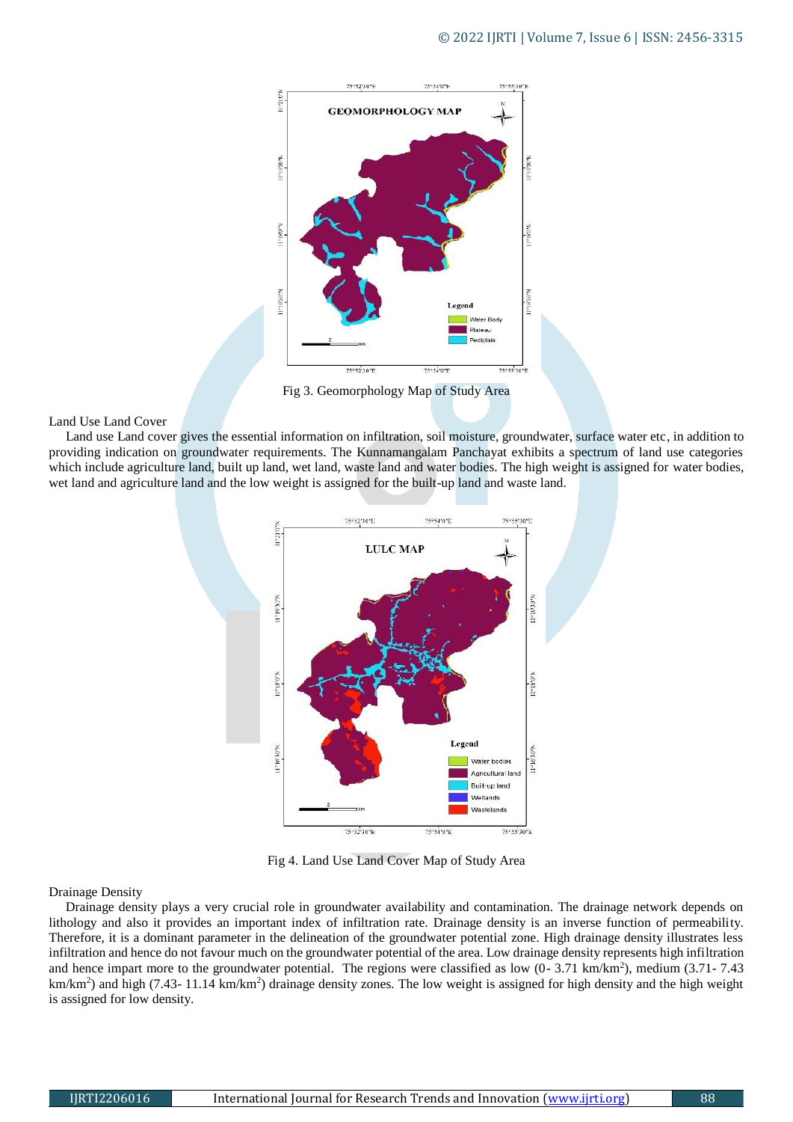

Fig 3. Geomorphology Map of Study Area

## Land Use Land Cover

 Land use Land cover gives the essential information on infiltration, soil moisture, groundwater, surface water etc, in addition to providing indication on groundwater requirements. The Kunnamangalam Panchayat exhibits a spectrum of land use categories which include agriculture land, built up land, wet land, waste land and water bodies. The high weight is assigned for water bodies, wet land and agriculture land and the low weight is assigned for the built-up land and waste land.



Fig 4. Land Use Land Cover Map of Study Area

## Drainage Density

 Drainage density plays a very crucial role in groundwater availability and contamination. The drainage network depends on lithology and also it provides an important index of infiltration rate. Drainage density is an inverse function of permeability. Therefore, it is a dominant parameter in the delineation of the groundwater potential zone. High drainage density illustrates less infiltration and hence do not favour much on the groundwater potential of the area. Low drainage density represents high infiltration and hence impart more to the groundwater potential. The regions were classified as low  $(0-3.71 \text{ km/km}^2)$ , medium  $(3.71-7.43 \text{ m})$ km/km<sup>2</sup>) and high (7.43-11.14 km/km<sup>2</sup>) drainage density zones. The low weight is assigned for high density and the high weight is assigned for low density.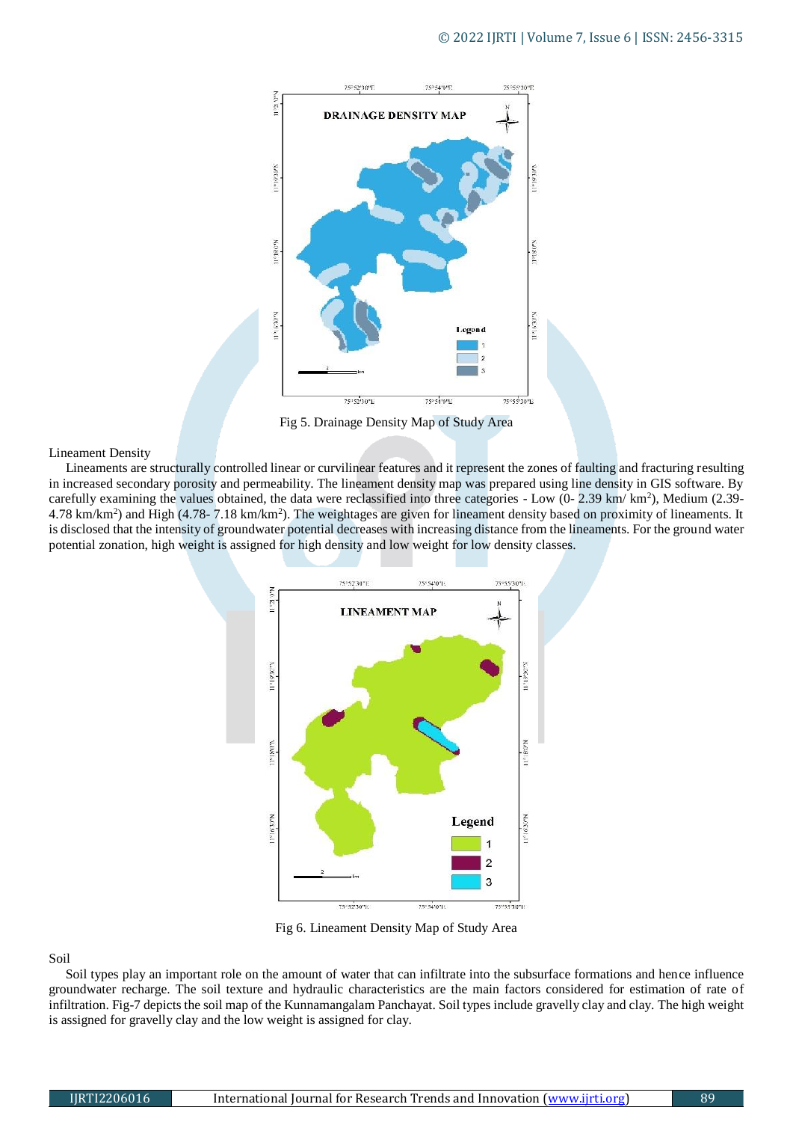

Fig 5. Drainage Density Map of Study Area

#### Lineament Density

 Lineaments are structurally controlled linear or curvilinear features and it represent the zones of faulting and fracturing resulting in increased secondary porosity and permeability. The lineament density map was prepared using line density in GIS software. By carefully examining the values obtained, the data were reclassified into three categories - Low  $(0-2.39 \text{ km}/\text{ km}^2)$ , Medium  $(2.39-12)$  $4.78 \text{ km/km}^2$ ) and High  $(4.78 - 7.18 \text{ km/km}^2)$ . The weightages are given for lineament density based on proximity of lineaments. It is disclosed that the intensity of groundwater potential decreases with increasing distance from the lineaments. For the ground water potential zonation, high weight is assigned for high density and low weight for low density classes.



Fig 6. Lineament Density Map of Study Area

### Soil

 Soil types play an important role on the amount of water that can infiltrate into the subsurface formations and hence influence groundwater recharge. The soil texture and hydraulic characteristics are the main factors considered for estimation of rate of infiltration. Fig-7 depicts the soil map of the Kunnamangalam Panchayat. Soil types include gravelly clay and clay. The high weight is assigned for gravelly clay and the low weight is assigned for clay.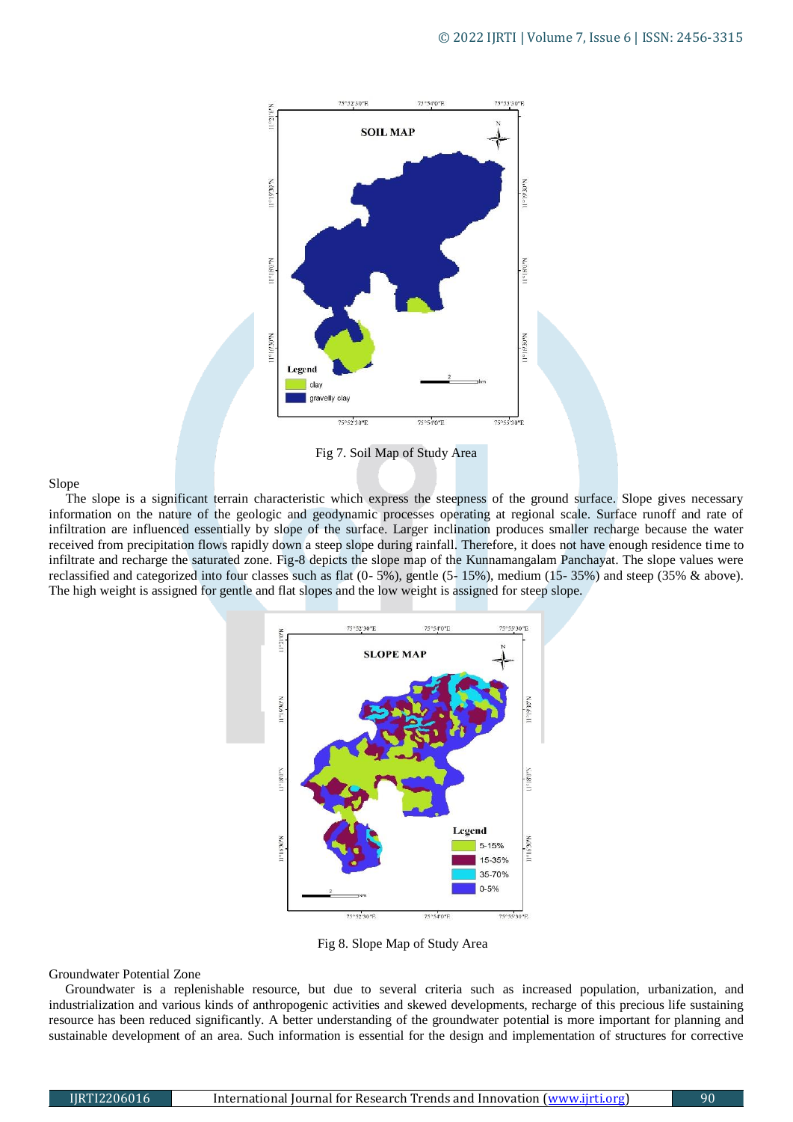

Fig 7. Soil Map of Study Area

## Slope

 The slope is a significant terrain characteristic which express the steepness of the ground surface. Slope gives necessary information on the nature of the geologic and geodynamic processes operating at regional scale. Surface runoff and rate of infiltration are influenced essentially by slope of the surface. Larger inclination produces smaller recharge because the water received from precipitation flows rapidly down a steep slope during rainfall. Therefore, it does not have enough residence time to infiltrate and recharge the saturated zone. Fig-8 depicts the slope map of the Kunnamangalam Panchayat. The slope values were reclassified and categorized into four classes such as flat (0- 5%), gentle (5- 15%), medium (15- 35%) and steep (35% & above). The high weight is assigned for gentle and flat slopes and the low weight is assigned for steep slope.



Fig 8. Slope Map of Study Area

### Groundwater Potential Zone

 Groundwater is a replenishable resource, but due to several criteria such as increased population, urbanization, and industrialization and various kinds of anthropogenic activities and skewed developments, recharge of this precious life sustaining resource has been reduced significantly. A better understanding of the groundwater potential is more important for planning and sustainable development of an area. Such information is essential for the design and implementation of structures for corrective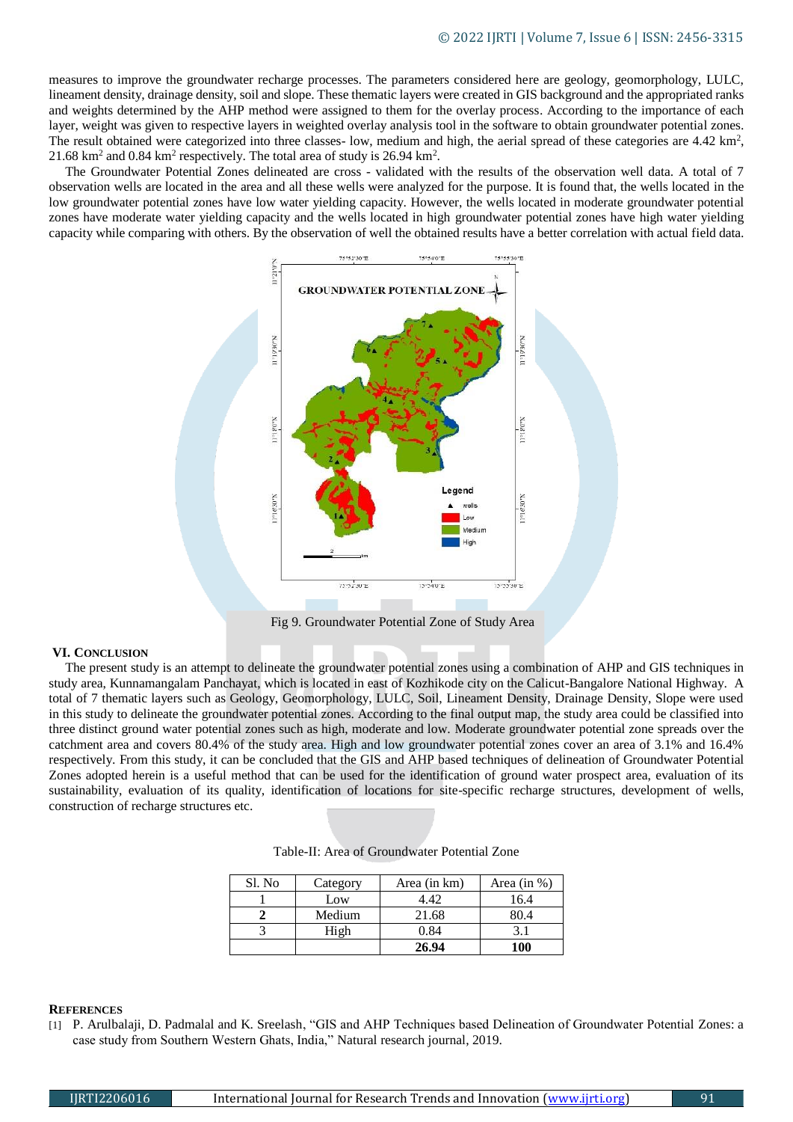measures to improve the groundwater recharge processes. The parameters considered here are geology, geomorphology, LULC, lineament density, drainage density, soil and slope. These thematic layers were created in GIS background and the appropriated ranks and weights determined by the AHP method were assigned to them for the overlay process. According to the importance of each layer, weight was given to respective layers in weighted overlay analysis tool in the software to obtain groundwater potential zones. The result obtained were categorized into three classes- low, medium and high, the aerial spread of these categories are 4.42 km<sup>2</sup>, 21.68 km<sup>2</sup> and 0.84 km<sup>2</sup> respectively. The total area of study is 26.94 km<sup>2</sup>.

 The Groundwater Potential Zones delineated are cross - validated with the results of the observation well data. A total of 7 observation wells are located in the area and all these wells were analyzed for the purpose. It is found that, the wells located in the low groundwater potential zones have low water yielding capacity. However, the wells located in moderate groundwater potential zones have moderate water yielding capacity and the wells located in high groundwater potential zones have high water yielding capacity while comparing with others. By the observation of well the obtained results have a better correlation with actual field data.



Fig 9. Groundwater Potential Zone of Study Area

## **VI. CONCLUSION**

 The present study is an attempt to delineate the groundwater potential zones using a combination of AHP and GIS techniques in study area, Kunnamangalam Panchayat, which is located in east of Kozhikode city on the Calicut-Bangalore National Highway. A total of 7 thematic layers such as Geology, Geomorphology, LULC, Soil, Lineament Density, Drainage Density, Slope were used in this study to delineate the groundwater potential zones. According to the final output map, the study area could be classified into three distinct ground water potential zones such as high, moderate and low. Moderate groundwater potential zone spreads over the catchment area and covers 80.4% of the study area. High and low groundwater potential zones cover an area of 3.1% and 16.4% respectively. From this study, it can be concluded that the GIS and AHP based techniques of delineation of Groundwater Potential Zones adopted herein is a useful method that can be used for the identification of ground water prospect area, evaluation of its sustainability, evaluation of its quality, identification of locations for site-specific recharge structures, development of wells, construction of recharge structures etc.

| Sl. No | Category | Area (in km) | Area (in $\%$ ) |
|--------|----------|--------------|-----------------|
|        | Low      | 1.42         | 16.4            |
|        | Medium   | 21.68        | 30.4            |
|        | High     | 0.84         |                 |
|        |          | 26.94        | 100             |

## **REFERENCES**

[1] P. Arulbalaji, D. Padmalal and K. Sreelash, "GIS and AHP Techniques based Delineation of Groundwater Potential Zones: a case study from Southern Western Ghats, India," Natural research journal, 2019.